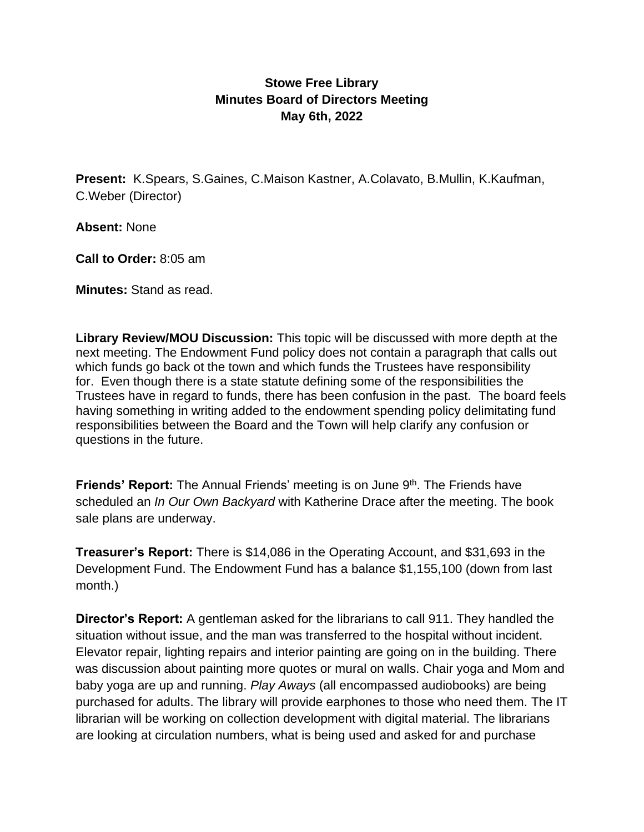## **Stowe Free Library Minutes Board of Directors Meeting May 6th, 2022**

**Present:** K.Spears, S.Gaines, C.Maison Kastner, A.Colavato, B.Mullin, K.Kaufman, C.Weber (Director)

**Absent:** None

**Call to Order:** 8:05 am

**Minutes:** Stand as read.

**Library Review/MOU Discussion:** This topic will be discussed with more depth at the next meeting. The Endowment Fund policy does not contain a paragraph that calls out which funds go back ot the town and which funds the Trustees have responsibility for. Even though there is a state statute defining some of the responsibilities the Trustees have in regard to funds, there has been confusion in the past. The board feels having something in writing added to the endowment spending policy delimitating fund responsibilities between the Board and the Town will help clarify any confusion or questions in the future.

Friends' Report: The Annual Friends' meeting is on June 9<sup>th</sup>. The Friends have scheduled an *In Our Own Backyard* with Katherine Drace after the meeting. The book sale plans are underway.

**Treasurer's Report:** There is \$14,086 in the Operating Account, and \$31,693 in the Development Fund. The Endowment Fund has a balance \$1,155,100 (down from last month.)

**Director's Report:** A gentleman asked for the librarians to call 911. They handled the situation without issue, and the man was transferred to the hospital without incident. Elevator repair, lighting repairs and interior painting are going on in the building. There was discussion about painting more quotes or mural on walls. Chair yoga and Mom and baby yoga are up and running. *Play Aways* (all encompassed audiobooks) are being purchased for adults. The library will provide earphones to those who need them. The IT librarian will be working on collection development with digital material. The librarians are looking at circulation numbers, what is being used and asked for and purchase